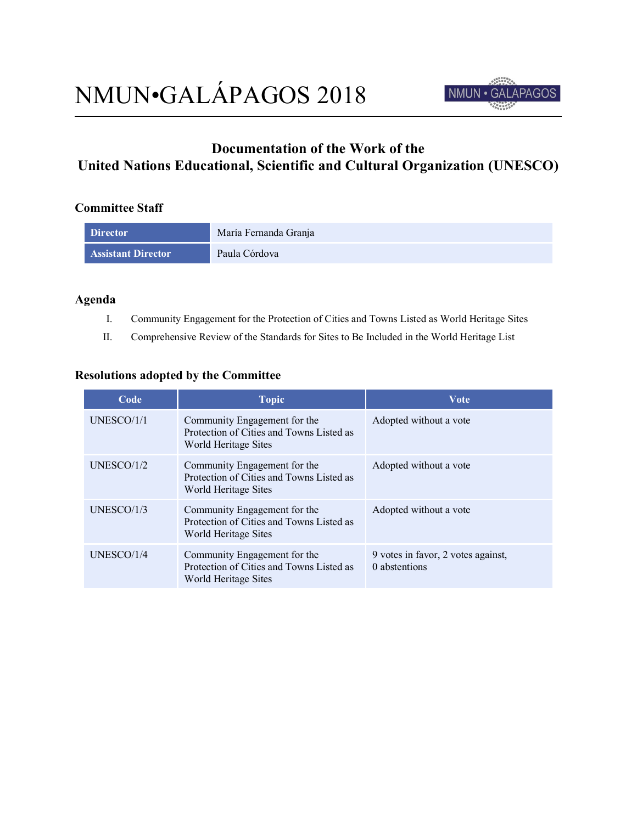

# **Documentation of the Work of the United Nations Educational, Scientific and Cultural Organization (UNESCO)**

## **Committee Staff**

| <b>Director</b>           | María Fernanda Granja |
|---------------------------|-----------------------|
| <b>Assistant Director</b> | Paula Córdova         |

## **Agenda**

- I. Community Engagement for the Protection of Cities and Towns Listed as World Heritage Sites
- II. Comprehensive Review of the Standards for Sites to Be Included in the World Heritage List

#### **Resolutions adopted by the Committee**

| Code       | <b>Topic</b>                                                                                     | <b>Vote</b>                                         |
|------------|--------------------------------------------------------------------------------------------------|-----------------------------------------------------|
| UNESCO/1/1 | Community Engagement for the<br>Protection of Cities and Towns Listed as<br>World Heritage Sites | Adopted without a vote                              |
| UNESCO/1/2 | Community Engagement for the<br>Protection of Cities and Towns Listed as<br>World Heritage Sites | Adopted without a vote                              |
| UNESCO/1/3 | Community Engagement for the<br>Protection of Cities and Towns Listed as<br>World Heritage Sites | Adopted without a vote                              |
| UNESCO/1/4 | Community Engagement for the<br>Protection of Cities and Towns Listed as<br>World Heritage Sites | 9 votes in favor, 2 votes against,<br>0 abstentions |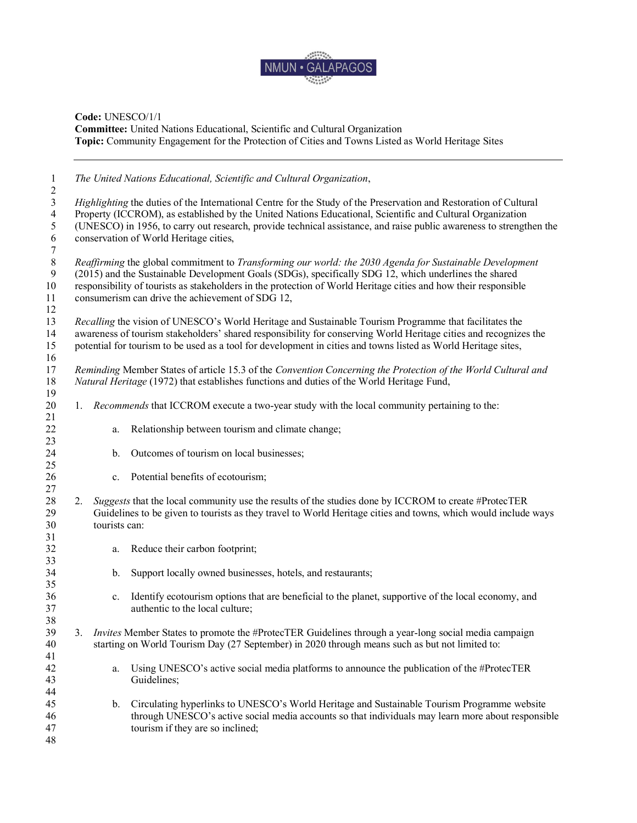

| $\mathbf{1}$<br>2 |    |               | The United Nations Educational, Scientific and Cultural Organization,                                                                                                                                                              |
|-------------------|----|---------------|------------------------------------------------------------------------------------------------------------------------------------------------------------------------------------------------------------------------------------|
| 3                 |    |               | Highlighting the duties of the International Centre for the Study of the Preservation and Restoration of Cultural                                                                                                                  |
| $\overline{4}$    |    |               | Property (ICCROM), as established by the United Nations Educational, Scientific and Cultural Organization                                                                                                                          |
| 5                 |    |               | (UNESCO) in 1956, to carry out research, provide technical assistance, and raise public awareness to strengthen the                                                                                                                |
| 6                 |    |               | conservation of World Heritage cities,                                                                                                                                                                                             |
| $\tau$            |    |               |                                                                                                                                                                                                                                    |
| $\,8\,$           |    |               | Reaffirming the global commitment to Transforming our world: the 2030 Agenda for Sustainable Development                                                                                                                           |
| 9                 |    |               | (2015) and the Sustainable Development Goals (SDGs), specifically SDG 12, which underlines the shared                                                                                                                              |
| 10                |    |               | responsibility of tourists as stakeholders in the protection of World Heritage cities and how their responsible                                                                                                                    |
| 11                |    |               | consumerism can drive the achievement of SDG 12,                                                                                                                                                                                   |
| 12                |    |               |                                                                                                                                                                                                                                    |
| 13                |    |               | Recalling the vision of UNESCO's World Heritage and Sustainable Tourism Programme that facilitates the                                                                                                                             |
| 14<br>15          |    |               | awareness of tourism stakeholders' shared responsibility for conserving World Heritage cities and recognizes the<br>potential for tourism to be used as a tool for development in cities and towns listed as World Heritage sites, |
| 16                |    |               |                                                                                                                                                                                                                                    |
| 17<br>18          |    |               | Reminding Member States of article 15.3 of the Convention Concerning the Protection of the World Cultural and<br>Natural Heritage (1972) that establishes functions and duties of the World Heritage Fund,                         |
| 19                |    |               |                                                                                                                                                                                                                                    |
| 20                | 1. |               | Recommends that ICCROM execute a two-year study with the local community pertaining to the:                                                                                                                                        |
| 21                |    |               |                                                                                                                                                                                                                                    |
| 22                |    | а.            | Relationship between tourism and climate change;                                                                                                                                                                                   |
| 23                |    |               |                                                                                                                                                                                                                                    |
| 24                |    | b.            | Outcomes of tourism on local businesses;                                                                                                                                                                                           |
| 25                |    |               |                                                                                                                                                                                                                                    |
| 26<br>27          |    | $c_{\cdot}$   | Potential benefits of ecotourism;                                                                                                                                                                                                  |
| 28                | 2. |               | Suggests that the local community use the results of the studies done by ICCROM to create #ProtecTER                                                                                                                               |
| 29                |    |               | Guidelines to be given to tourists as they travel to World Heritage cities and towns, which would include ways                                                                                                                     |
| 30                |    | tourists can: |                                                                                                                                                                                                                                    |
| 31                |    |               |                                                                                                                                                                                                                                    |
| 32                |    | a.            | Reduce their carbon footprint;                                                                                                                                                                                                     |
| 33                |    |               |                                                                                                                                                                                                                                    |
| 34                |    | b.            | Support locally owned businesses, hotels, and restaurants;                                                                                                                                                                         |
| 35                |    |               |                                                                                                                                                                                                                                    |
| 36                |    | $c_{\cdot}$   | Identify ecotourism options that are beneficial to the planet, supportive of the local economy, and                                                                                                                                |
| 37                |    |               | authentic to the local culture;                                                                                                                                                                                                    |
| 38                |    |               |                                                                                                                                                                                                                                    |
| 39                | 3. |               | Invites Member States to promote the #ProtecTER Guidelines through a year-long social media campaign                                                                                                                               |
| 40                |    |               | starting on World Tourism Day (27 September) in 2020 through means such as but not limited to:                                                                                                                                     |
| 41                |    |               |                                                                                                                                                                                                                                    |
| 42                |    | a.            | Using UNESCO's active social media platforms to announce the publication of the #ProtecTER                                                                                                                                         |
| 43                |    |               | Guidelines;                                                                                                                                                                                                                        |
| 44                |    |               |                                                                                                                                                                                                                                    |
| 45                |    | b.            | Circulating hyperlinks to UNESCO's World Heritage and Sustainable Tourism Programme website                                                                                                                                        |
| 46                |    |               | through UNESCO's active social media accounts so that individuals may learn more about responsible                                                                                                                                 |
| 47                |    |               | tourism if they are so inclined;                                                                                                                                                                                                   |
| 48                |    |               |                                                                                                                                                                                                                                    |
|                   |    |               |                                                                                                                                                                                                                                    |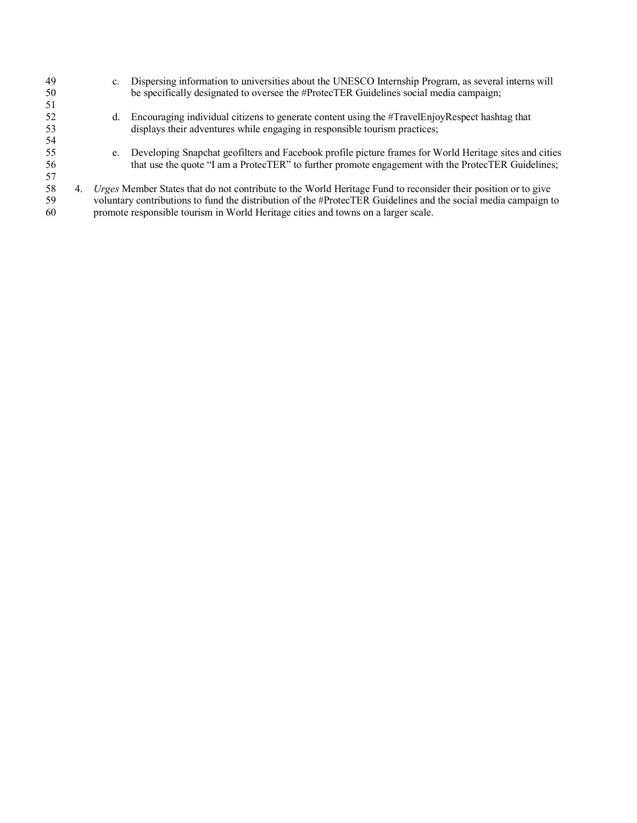| 49 | $\mathbf{c}$ . | Dispersing information to universities about the UNESCO Internship Program, as several interns will            |
|----|----------------|----------------------------------------------------------------------------------------------------------------|
| 50 |                | be specifically designated to oversee the #ProtecTER Guidelines social media campaign;                         |
| 51 |                |                                                                                                                |
| 52 | d.             | Encouraging individual citizens to generate content using the #TravelEnjoyRespect hashtag that                 |
| 53 |                | displays their adventures while engaging in responsible tourism practices;                                     |
| 54 |                |                                                                                                                |
| 55 | e.             | Developing Snapchat geofilters and Facebook profile picture frames for World Heritage sites and cities         |
| 56 |                | that use the quote "I am a ProtecTER" to further promote engagement with the ProtecTER Guidelines;             |
| 57 |                |                                                                                                                |
| 58 |                | Urges Member States that do not contribute to the World Heritage Fund to reconsider their position or to give  |
| 59 |                | voluntary contributions to fund the distribution of the #ProtecTER Guidelines and the social media campaign to |
| 60 |                | promote responsible tourism in World Heritage cities and towns on a larger scale.                              |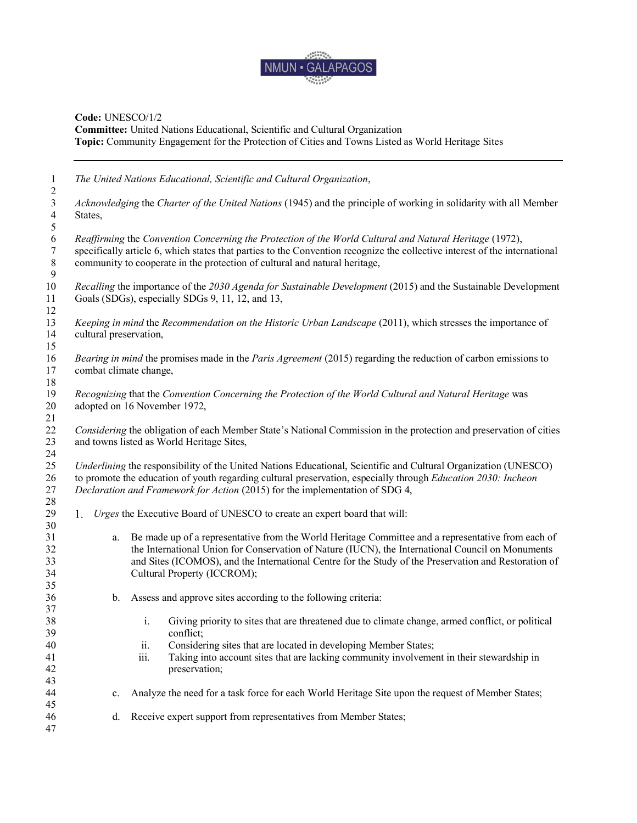

| $\mathbf{1}$                                       | The United Nations Educational, Scientific and Cultural Organization,                                                                                                                                                                                                                                                                                 |
|----------------------------------------------------|-------------------------------------------------------------------------------------------------------------------------------------------------------------------------------------------------------------------------------------------------------------------------------------------------------------------------------------------------------|
| $\overline{c}$<br>$\mathfrak{Z}$<br>$\overline{4}$ | Acknowledging the Charter of the United Nations (1945) and the principle of working in solidarity with all Member<br>States,                                                                                                                                                                                                                          |
| 5<br>6<br>7<br>$\,8\,$<br>$\overline{9}$           | Reaffirming the Convention Concerning the Protection of the World Cultural and Natural Heritage (1972),<br>specifically article 6, which states that parties to the Convention recognize the collective interest of the international<br>community to cooperate in the protection of cultural and natural heritage,                                   |
| 10<br>11<br>12                                     | Recalling the importance of the 2030 Agenda for Sustainable Development (2015) and the Sustainable Development<br>Goals (SDGs), especially SDGs 9, 11, 12, and 13,                                                                                                                                                                                    |
| 13<br>14<br>15                                     | Keeping in mind the Recommendation on the Historic Urban Landscape (2011), which stresses the importance of<br>cultural preservation,                                                                                                                                                                                                                 |
| 16<br>17                                           | Bearing in mind the promises made in the Paris Agreement (2015) regarding the reduction of carbon emissions to<br>combat climate change,                                                                                                                                                                                                              |
| 18<br>19<br>20                                     | Recognizing that the Convention Concerning the Protection of the World Cultural and Natural Heritage was<br>adopted on 16 November 1972,                                                                                                                                                                                                              |
| 21<br>22<br>23                                     | Considering the obligation of each Member State's National Commission in the protection and preservation of cities<br>and towns listed as World Heritage Sites,                                                                                                                                                                                       |
| 24<br>25<br>26<br>27                               | Underlining the responsibility of the United Nations Educational, Scientific and Cultural Organization (UNESCO)<br>to promote the education of youth regarding cultural preservation, especially through Education 2030: Incheon<br>Declaration and Framework for Action (2015) for the implementation of SDG 4,                                      |
| 28<br>29<br>30                                     | Urges the Executive Board of UNESCO to create an expert board that will:<br>1.                                                                                                                                                                                                                                                                        |
| 31<br>32<br>33<br>34<br>35                         | Be made up of a representative from the World Heritage Committee and a representative from each of<br>a.<br>the International Union for Conservation of Nature (IUCN), the International Council on Monuments<br>and Sites (ICOMOS), and the International Centre for the Study of the Preservation and Restoration of<br>Cultural Property (ICCROM); |
| 36<br>37                                           | Assess and approve sites according to the following criteria:<br>b.                                                                                                                                                                                                                                                                                   |
| 38<br>39<br>40<br>41<br>42<br>43                   | $\mathbf{i}$ .<br>Giving priority to sites that are threatened due to climate change, armed conflict, or political<br>conflict;<br>Considering sites that are located in developing Member States;<br>11.<br>iii.<br>Taking into account sites that are lacking community involvement in their stewardship in<br>preservation;                        |
| 44<br>45                                           | Analyze the need for a task force for each World Heritage Site upon the request of Member States;<br>c.                                                                                                                                                                                                                                               |
| 46<br>47                                           | Receive expert support from representatives from Member States;<br>d.                                                                                                                                                                                                                                                                                 |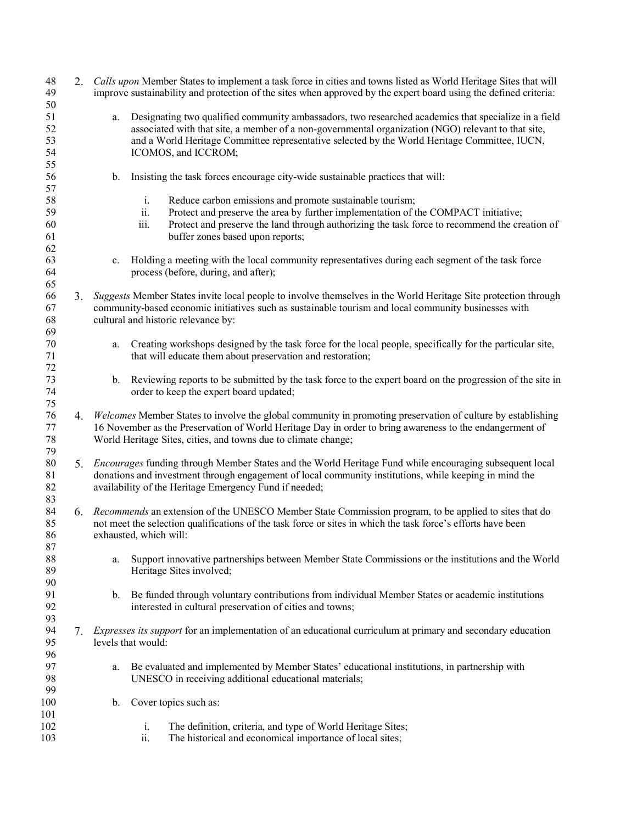| 48<br>49<br>50             |    | 2. Calls upon Member States to implement a task force in cities and towns listed as World Heritage Sites that will<br>improve sustainability and protection of the sites when approved by the expert board using the defined criteria:                                                                                                    |
|----------------------------|----|-------------------------------------------------------------------------------------------------------------------------------------------------------------------------------------------------------------------------------------------------------------------------------------------------------------------------------------------|
| 51<br>52<br>53<br>54<br>55 |    | Designating two qualified community ambassadors, two researched academics that specialize in a field<br>a.<br>associated with that site, a member of a non-governmental organization (NGO) relevant to that site,<br>and a World Heritage Committee representative selected by the World Heritage Committee, IUCN,<br>ICOMOS, and ICCROM; |
| 56<br>57                   |    | Insisting the task forces encourage city-wide sustainable practices that will:<br>$\mathbf b$ .                                                                                                                                                                                                                                           |
| 58<br>59<br>60<br>61<br>62 |    | Reduce carbon emissions and promote sustainable tourism;<br>i.<br>ii.<br>Protect and preserve the area by further implementation of the COMPACT initiative;<br>Protect and preserve the land through authorizing the task force to recommend the creation of<br>iii.<br>buffer zones based upon reports;                                  |
| 63<br>64<br>65             |    | Holding a meeting with the local community representatives during each segment of the task force<br>$c_{-}$<br>process (before, during, and after);                                                                                                                                                                                       |
| 66<br>67<br>68<br>69       | 3. | Suggests Member States invite local people to involve themselves in the World Heritage Site protection through<br>community-based economic initiatives such as sustainable tourism and local community businesses with<br>cultural and historic relevance by:                                                                             |
| $70\,$<br>71<br>72         |    | Creating workshops designed by the task force for the local people, specifically for the particular site,<br>a.<br>that will educate them about preservation and restoration;                                                                                                                                                             |
| 73<br>74<br>75             |    | Reviewing reports to be submitted by the task force to the expert board on the progression of the site in<br>b.<br>order to keep the expert board updated;                                                                                                                                                                                |
| 76<br>77<br>78<br>79       | 4. | Welcomes Member States to involve the global community in promoting preservation of culture by establishing<br>16 November as the Preservation of World Heritage Day in order to bring awareness to the endangerment of<br>World Heritage Sites, cities, and towns due to climate change;                                                 |
| 80<br>81<br>82<br>83       |    | 5. Encourages funding through Member States and the World Heritage Fund while encouraging subsequent local<br>donations and investment through engagement of local community institutions, while keeping in mind the<br>availability of the Heritage Emergency Fund if needed;                                                            |
| 84<br>85<br>86<br>87       |    | 6. Recommends an extension of the UNESCO Member State Commission program, to be applied to sites that do<br>not meet the selection qualifications of the task force or sites in which the task force's efforts have been<br>exhausted, which will:                                                                                        |
| 88<br>89<br>90             |    | Support innovative partnerships between Member State Commissions or the institutions and the World<br>a.<br>Heritage Sites involved;                                                                                                                                                                                                      |
| 91<br>92<br>93             |    | Be funded through voluntary contributions from individual Member States or academic institutions<br>b.<br>interested in cultural preservation of cities and towns;                                                                                                                                                                        |
| 94<br>95<br>96             | 7. | <i>Expresses its support</i> for an implementation of an educational curriculum at primary and secondary education<br>levels that would:                                                                                                                                                                                                  |
| 97<br>98<br>99             |    | Be evaluated and implemented by Member States' educational institutions, in partnership with<br>a.<br>UNESCO in receiving additional educational materials;                                                                                                                                                                               |
| 100<br>101                 |    | Cover topics such as:<br>b.                                                                                                                                                                                                                                                                                                               |
| 102<br>103                 |    | i.<br>The definition, criteria, and type of World Heritage Sites;<br>The historical and economical importance of local sites;<br>ii.                                                                                                                                                                                                      |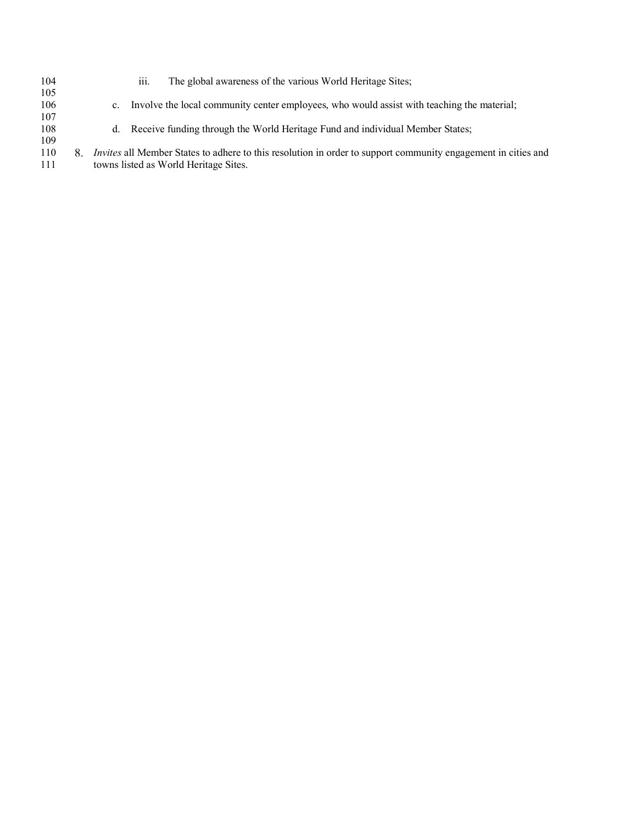104 iii. The global awareness of the various World Heritage Sites;  $\frac{105}{106}$ c. Involve the local community center employees, who would assist with teaching the material; 107 108 d. Receive funding through the World Heritage Fund and individual Member States;  $\begin{array}{c} 109 \\ 110 \end{array}$ 110 *Invites* all Member States to adhere to this resolution in order to support community engagement in cities and 111 towns listed as World Heritage Sites.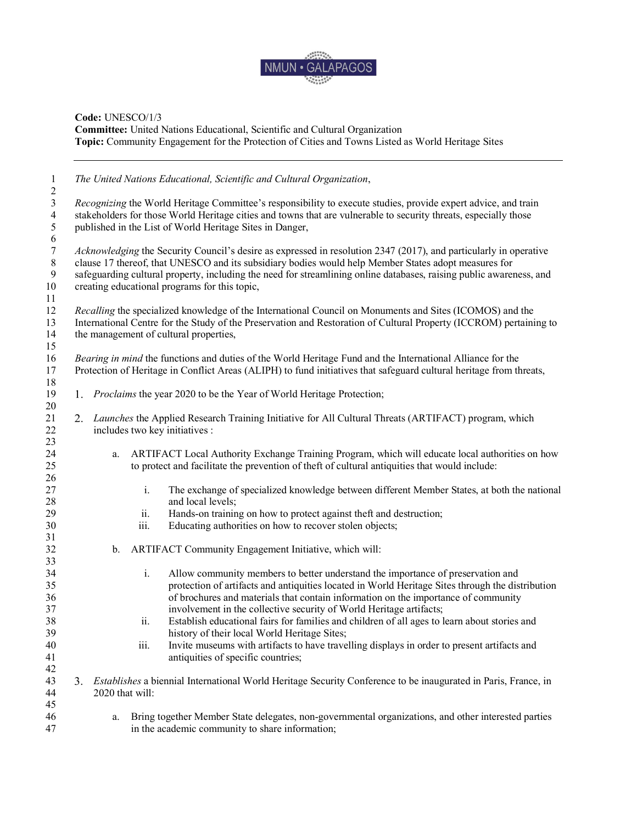

| $\mathbf{1}$<br>$\sqrt{2}$                                   |    |                 | The United Nations Educational, Scientific and Cultural Organization,                                                                                                                                                                                                                                                                                                                             |
|--------------------------------------------------------------|----|-----------------|---------------------------------------------------------------------------------------------------------------------------------------------------------------------------------------------------------------------------------------------------------------------------------------------------------------------------------------------------------------------------------------------------|
| $\mathfrak{Z}$<br>$\overline{4}$<br>$\sqrt{5}$<br>$\sqrt{6}$ |    |                 | Recognizing the World Heritage Committee's responsibility to execute studies, provide expert advice, and train<br>stakeholders for those World Heritage cities and towns that are vulnerable to security threats, especially those<br>published in the List of World Heritage Sites in Danger,                                                                                                    |
| $\boldsymbol{7}$<br>$\,8\,$<br>$\boldsymbol{9}$<br>10<br>11  |    |                 | Acknowledging the Security Council's desire as expressed in resolution 2347 (2017), and particularly in operative<br>clause 17 thereof, that UNESCO and its subsidiary bodies would help Member States adopt measures for<br>safeguarding cultural property, including the need for streamlining online databases, raising public awareness, and<br>creating educational programs for this topic, |
| 12<br>13<br>14<br>15                                         |    |                 | Recalling the specialized knowledge of the International Council on Monuments and Sites (ICOMOS) and the<br>International Centre for the Study of the Preservation and Restoration of Cultural Property (ICCROM) pertaining to<br>the management of cultural properties,                                                                                                                          |
| 16<br>17<br>18                                               |    |                 | Bearing in mind the functions and duties of the World Heritage Fund and the International Alliance for the<br>Protection of Heritage in Conflict Areas (ALIPH) to fund initiatives that safeguard cultural heritage from threats,                                                                                                                                                                 |
| 19<br>20                                                     | 1. |                 | <i>Proclaims</i> the year 2020 to be the Year of World Heritage Protection;                                                                                                                                                                                                                                                                                                                       |
| 21<br>22<br>23                                               | 2. |                 | Launches the Applied Research Training Initiative for All Cultural Threats (ARTIFACT) program, which<br>includes two key initiatives :                                                                                                                                                                                                                                                            |
| 24<br>25<br>26                                               |    | a.              | ARTIFACT Local Authority Exchange Training Program, which will educate local authorities on how<br>to protect and facilitate the prevention of theft of cultural antiquities that would include:                                                                                                                                                                                                  |
| 27<br>28                                                     |    |                 | $\mathbf{i}$ .<br>The exchange of specialized knowledge between different Member States, at both the national<br>and local levels;                                                                                                                                                                                                                                                                |
| 29<br>30                                                     |    |                 | Hands-on training on how to protect against theft and destruction;<br>ii.<br>Educating authorities on how to recover stolen objects;<br>iii.                                                                                                                                                                                                                                                      |
| 31<br>32<br>33                                               |    | b.              | ARTIFACT Community Engagement Initiative, which will:                                                                                                                                                                                                                                                                                                                                             |
| 34<br>35<br>36<br>37                                         |    |                 | i.<br>Allow community members to better understand the importance of preservation and<br>protection of artifacts and antiquities located in World Heritage Sites through the distribution<br>of brochures and materials that contain information on the importance of community<br>involvement in the collective security of World Heritage artifacts;                                            |
| 38<br>39                                                     |    |                 | Establish educational fairs for families and children of all ages to learn about stories and<br>ii.<br>history of their local World Heritage Sites;                                                                                                                                                                                                                                               |
| 40<br>41<br>42                                               |    |                 | Invite museums with artifacts to have travelling displays in order to present artifacts and<br>iii.<br>antiquities of specific countries;                                                                                                                                                                                                                                                         |
| 43<br>44<br>45                                               | 3. | 2020 that will: | Establishes a biennial International World Heritage Security Conference to be inaugurated in Paris, France, in                                                                                                                                                                                                                                                                                    |
| 46<br>47                                                     |    | a.              | Bring together Member State delegates, non-governmental organizations, and other interested parties<br>in the academic community to share information;                                                                                                                                                                                                                                            |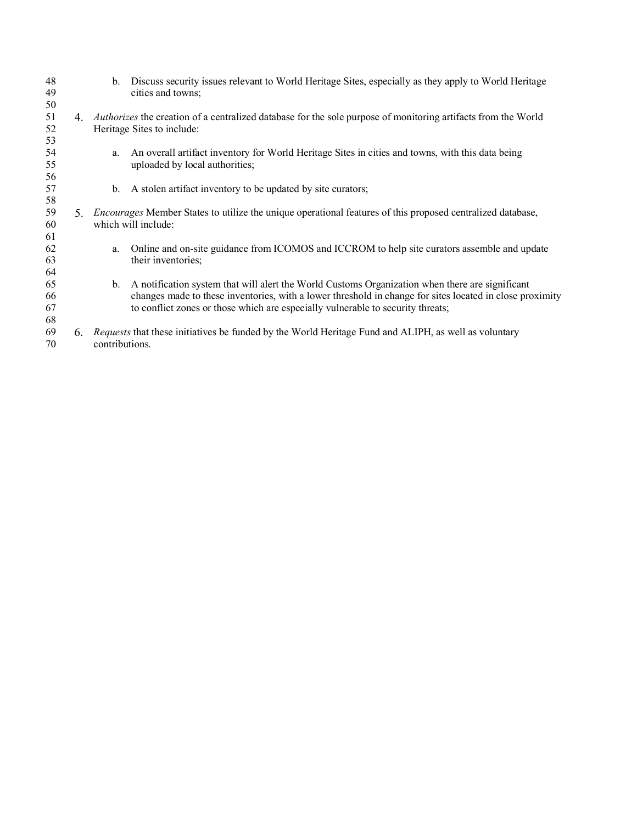| 48<br>49             |    | b.             | Discuss security issues relevant to World Heritage Sites, especially as they apply to World Heritage<br>cities and towns;                                                                                                                                                                      |
|----------------------|----|----------------|------------------------------------------------------------------------------------------------------------------------------------------------------------------------------------------------------------------------------------------------------------------------------------------------|
| 50<br>51             | 4. |                | <i>Authorizes</i> the creation of a centralized database for the sole purpose of monitoring artifacts from the World                                                                                                                                                                           |
| 52<br>53             |    |                | Heritage Sites to include:                                                                                                                                                                                                                                                                     |
| 54<br>55             |    | a.             | An overall artifact inventory for World Heritage Sites in cities and towns, with this data being<br>uploaded by local authorities;                                                                                                                                                             |
| 56<br>57<br>58       |    | $\mathbf{b}$ . | A stolen artifact inventory to be updated by site curators;                                                                                                                                                                                                                                    |
| 59<br>60<br>61       | 5. |                | <i>Encourages</i> Member States to utilize the unique operational features of this proposed centralized database,<br>which will include:                                                                                                                                                       |
| 62<br>63<br>64       |    | a.             | Online and on-site guidance from ICOMOS and ICCROM to help site curators assemble and update<br>their inventories;                                                                                                                                                                             |
| 65<br>66<br>67<br>68 |    | $b_{-}$        | A notification system that will alert the World Customs Organization when there are significant<br>changes made to these inventories, with a lower threshold in change for sites located in close proximity<br>to conflict zones or those which are especially vulnerable to security threats; |
| 69<br>70             | 6. | contributions. | <i>Requests</i> that these initiatives be funded by the World Heritage Fund and ALIPH, as well as voluntary                                                                                                                                                                                    |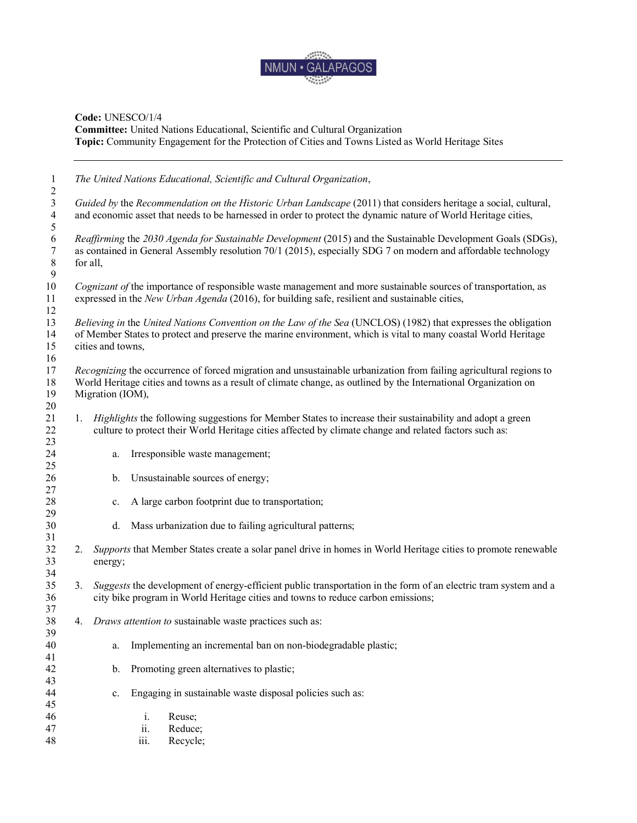

| 1                                                       |                   | The United Nations Educational, Scientific and Cultural Organization,                                                                                                                                                                 |
|---------------------------------------------------------|-------------------|---------------------------------------------------------------------------------------------------------------------------------------------------------------------------------------------------------------------------------------|
| $\overline{c}$<br>$\overline{3}$<br>$\overline{4}$<br>5 |                   | Guided by the Recommendation on the Historic Urban Landscape (2011) that considers heritage a social, cultural,<br>and economic asset that needs to be harnessed in order to protect the dynamic nature of World Heritage cities,     |
| $\sqrt{6}$<br>$\boldsymbol{7}$<br>$\,8\,$<br>9          | for all,          | Reaffirming the 2030 Agenda for Sustainable Development (2015) and the Sustainable Development Goals (SDGs),<br>as contained in General Assembly resolution 70/1 (2015), especially SDG 7 on modern and affordable technology         |
| 10<br>11<br>12                                          |                   | Cognizant of the importance of responsible waste management and more sustainable sources of transportation, as<br>expressed in the New Urban Agenda (2016), for building safe, resilient and sustainable cities,                      |
| 13<br>14<br>15                                          | cities and towns, | Believing in the United Nations Convention on the Law of the Sea (UNCLOS) (1982) that expresses the obligation<br>of Member States to protect and preserve the marine environment, which is vital to many coastal World Heritage      |
| 16<br>17<br>18<br>19<br>20                              | Migration (IOM),  | Recognizing the occurrence of forced migration and unsustainable urbanization from failing agricultural regions to<br>World Heritage cities and towns as a result of climate change, as outlined by the International Organization on |
| 21<br>22<br>23                                          |                   | 1. <i>Highlights</i> the following suggestions for Member States to increase their sustainability and adopt a green<br>culture to protect their World Heritage cities affected by climate change and related factors such as:         |
| 24<br>25                                                | a.                | Irresponsible waste management;                                                                                                                                                                                                       |
| 26<br>27                                                | b.                | Unsustainable sources of energy;                                                                                                                                                                                                      |
| 28                                                      | $c$ .             | A large carbon footprint due to transportation;                                                                                                                                                                                       |
| 29<br>30                                                | d.                | Mass urbanization due to failing agricultural patterns;                                                                                                                                                                               |
| 31<br>32<br>33<br>34                                    | energy;           | 2. Supports that Member States create a solar panel drive in homes in World Heritage cities to promote renewable                                                                                                                      |
| 35<br>36<br>37                                          |                   | 3. Suggests the development of energy-efficient public transportation in the form of an electric tram system and a<br>city bike program in World Heritage cities and towns to reduce carbon emissions;                                |
| 38<br>39                                                |                   | 4. Draws attention to sustainable waste practices such as:                                                                                                                                                                            |
| 40<br>41                                                | a.                | Implementing an incremental ban on non-biodegradable plastic;                                                                                                                                                                         |
| 42<br>43                                                | b.                | Promoting green alternatives to plastic;                                                                                                                                                                                              |
| 44                                                      | $\mathbf{c}$ .    | Engaging in sustainable waste disposal policies such as:                                                                                                                                                                              |
| 45<br>46<br>47<br>48                                    |                   | i.<br>Reuse;<br>ii.<br>Reduce;<br>Recycle;<br>iii.                                                                                                                                                                                    |